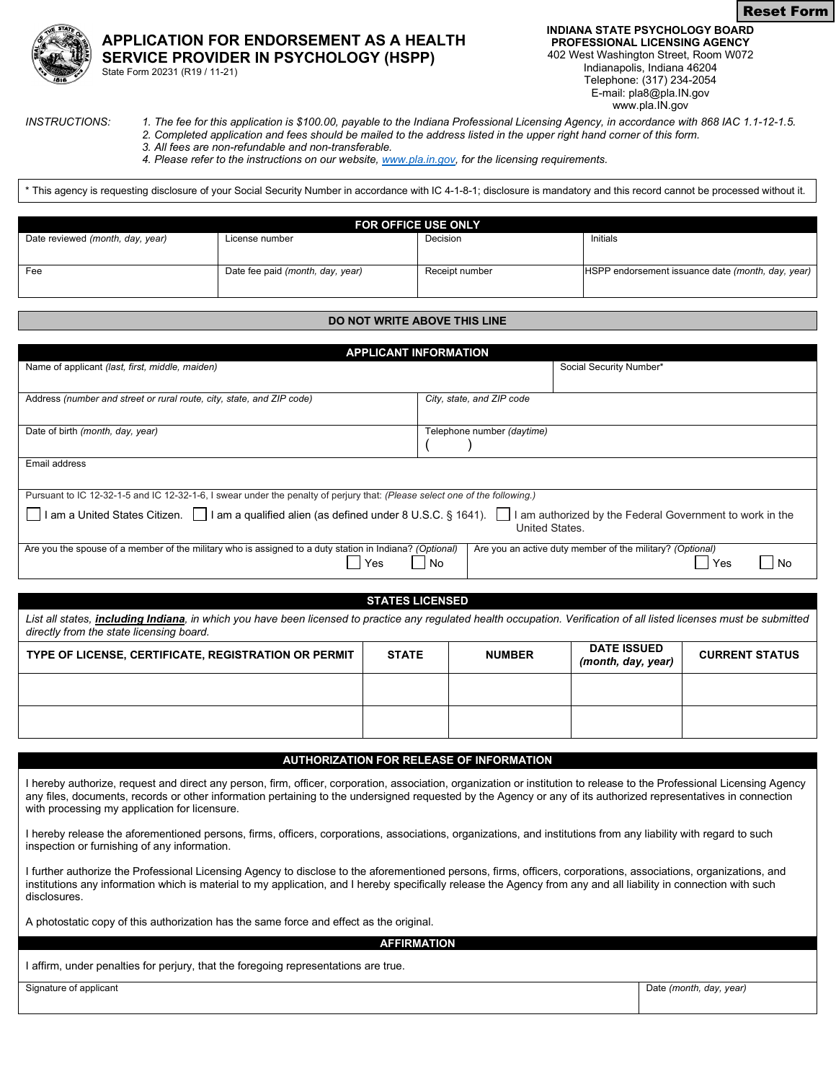



State Form 20231 (R19 / 11-21)

**INDIANA STATE PSYCHOLOGY BOARD PROFESSIONAL LICENSING AGENCY** 402 West Washington Street, Room W072

Indianapolis, Indiana 46204 Telephone: (317) 234-2054 E-mail: pla8@pla.IN.gov www.pla.IN.gov

- *INSTRUCTIONS: 1. The fee for this application is \$100.00, payable to the Indiana Professional Licensing Agency, in accordance with 868 IAC 1.1-12-1.5. 2. Completed application and fees should be mailed to the address listed in the upper right hand corner of this form.* 
	- *3. All fees are non-refundable and non-transferable.*

*4. Please refer to the instructions on our website[, www.pla.in.gov,](http://www.pla.in.gov/) for the licensing requirements.*

\* This agency is requesting disclosure of your Social Security Number in accordance with IC 4-1-8-1; disclosure is mandatory and this record cannot be processed without it.

| <b>FOR OFFICE USE ONLY</b>       |                                  |                |                                                   |  |
|----------------------------------|----------------------------------|----------------|---------------------------------------------------|--|
| Date reviewed (month, day, year) | License number                   | Decision       | Initials                                          |  |
|                                  |                                  |                |                                                   |  |
| Fee                              | Date fee paid (month, day, year) | Receipt number | HSPP endorsement issuance date (month, day, year) |  |
|                                  |                                  |                |                                                   |  |

#### **DO NOT WRITE ABOVE THIS LINE**

| <b>APPLICANT INFORMATION</b>                                                                                                                                                                                                                                                                            |              |                            |                                          |  |                       |
|---------------------------------------------------------------------------------------------------------------------------------------------------------------------------------------------------------------------------------------------------------------------------------------------------------|--------------|----------------------------|------------------------------------------|--|-----------------------|
| Name of applicant (last, first, middle, maiden)                                                                                                                                                                                                                                                         |              |                            | Social Security Number*                  |  |                       |
| Address (number and street or rural route, city, state, and ZIP code)                                                                                                                                                                                                                                   |              | City, state, and ZIP code  |                                          |  |                       |
| Date of birth (month, day, year)                                                                                                                                                                                                                                                                        |              | Telephone number (daytime) |                                          |  |                       |
| Email address                                                                                                                                                                                                                                                                                           |              |                            |                                          |  |                       |
| Pursuant to IC 12-32-1-5 and IC 12-32-1-6, I swear under the penalty of perjury that: (Please select one of the following.)<br>I am a United States Citizen. □ I am a qualified alien (as defined under 8 U.S.C. § 1641). □<br>am authorized by the Federal Government to work in the<br>United States. |              |                            |                                          |  |                       |
| Are you the spouse of a member of the military who is assigned to a duty station in Indiana? (Optional)<br>Are you an active duty member of the military? (Optional)<br>No<br>l Yes<br>l Yes<br>  No                                                                                                    |              |                            |                                          |  |                       |
|                                                                                                                                                                                                                                                                                                         |              |                            |                                          |  |                       |
| <b>STATES LICENSED</b>                                                                                                                                                                                                                                                                                  |              |                            |                                          |  |                       |
| List all states, including Indiana, in which you have been licensed to practice any regulated health occupation. Verification of all listed licenses must be submitted<br>directly from the state licensing board.                                                                                      |              |                            |                                          |  |                       |
| TYPE OF LICENSE, CERTIFICATE, REGISTRATION OR PERMIT                                                                                                                                                                                                                                                    | <b>STATE</b> | <b>NUMBER</b>              | <b>DATE ISSUED</b><br>(month, day, year) |  | <b>CURRENT STATUS</b> |

#### **AUTHORIZATION FOR RELEASE OF INFORMATION**

I hereby authorize, request and direct any person, firm, officer, corporation, association, organization or institution to release to the Professional Licensing Agency any files, documents, records or other information pertaining to the undersigned requested by the Agency or any of its authorized representatives in connection with processing my application for licensure.

I hereby release the aforementioned persons, firms, officers, corporations, associations, organizations, and institutions from any liability with regard to such inspection or furnishing of any information.

I further authorize the Professional Licensing Agency to disclose to the aforementioned persons, firms, officers, corporations, associations, organizations, and institutions any information which is material to my application, and I hereby specifically release the Agency from any and all liability in connection with such disclosures.

A photostatic copy of this authorization has the same force and effect as the original.

**AFFIRMATION**

I affirm, under penalties for perjury, that the foregoing representations are true.

Signature of applicant **Date** *(month, day, year)* Date *(month, day, year)*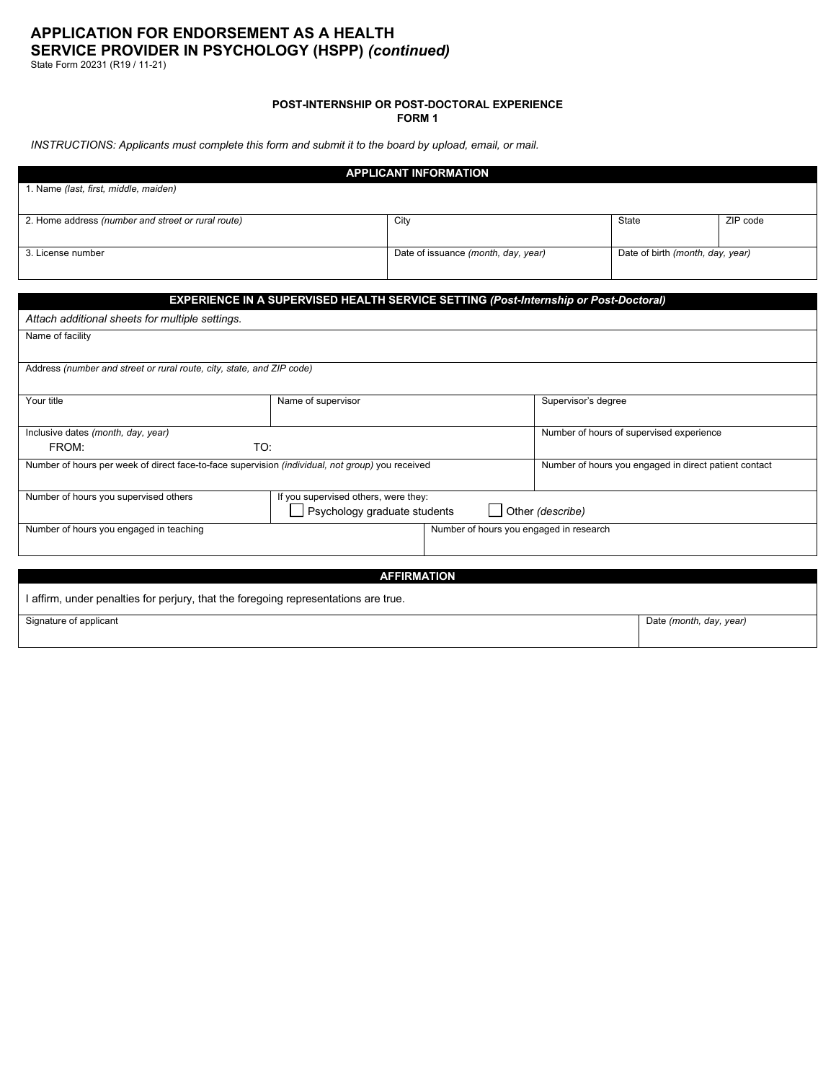State Form 20231 (R19 / 11-21)

## **POST-INTERNSHIP OR POST-DOCTORAL EXPERIENCE**

**FORM 1**

*INSTRUCTIONS: Applicants must complete this form and submit it to the board by upload, email, or mail.*

|                                                                                                  | <b>APPLICANT INFORMATION</b>                                                         |                                     |                                  |                                                       |          |
|--------------------------------------------------------------------------------------------------|--------------------------------------------------------------------------------------|-------------------------------------|----------------------------------|-------------------------------------------------------|----------|
| 1. Name (last, first, middle, maiden)                                                            |                                                                                      |                                     |                                  |                                                       |          |
| 2. Home address (number and street or rural route)                                               | City                                                                                 |                                     |                                  | State                                                 | ZIP code |
| 3. License number                                                                                |                                                                                      | Date of issuance (month, day, year) | Date of birth (month, day, year) |                                                       |          |
|                                                                                                  | EXPERIENCE IN A SUPERVISED HEALTH SERVICE SETTING (Post-Internship or Post-Doctoral) |                                     |                                  |                                                       |          |
| Attach additional sheets for multiple settings.                                                  |                                                                                      |                                     |                                  |                                                       |          |
| Name of facility                                                                                 |                                                                                      |                                     |                                  |                                                       |          |
| Address (number and street or rural route, city, state, and ZIP code)                            |                                                                                      |                                     |                                  |                                                       |          |
| Your title                                                                                       | Name of supervisor                                                                   |                                     | Supervisor's degree              |                                                       |          |
| Inclusive dates (month, day, year)                                                               |                                                                                      |                                     |                                  | Number of hours of supervised experience              |          |
| TO:<br>FROM:                                                                                     |                                                                                      |                                     |                                  |                                                       |          |
| Number of hours per week of direct face-to-face supervision (individual, not group) you received |                                                                                      |                                     |                                  | Number of hours you engaged in direct patient contact |          |
| Number of hours you supervised others                                                            | If you supervised others, were they:<br>Psychology graduate students                 |                                     | Other (describe)                 |                                                       |          |
| Number of hours you engaged in teaching<br>Number of hours you engaged in research               |                                                                                      |                                     |                                  |                                                       |          |
|                                                                                                  |                                                                                      |                                     |                                  |                                                       |          |
| <b>AFFIRMATION</b>                                                                               |                                                                                      |                                     |                                  |                                                       |          |
| I affirm, under penalties for perjury, that the foregoing representations are true.              |                                                                                      |                                     |                                  |                                                       |          |
| Signature of applicant                                                                           |                                                                                      |                                     |                                  | Date (month, day, year)                               |          |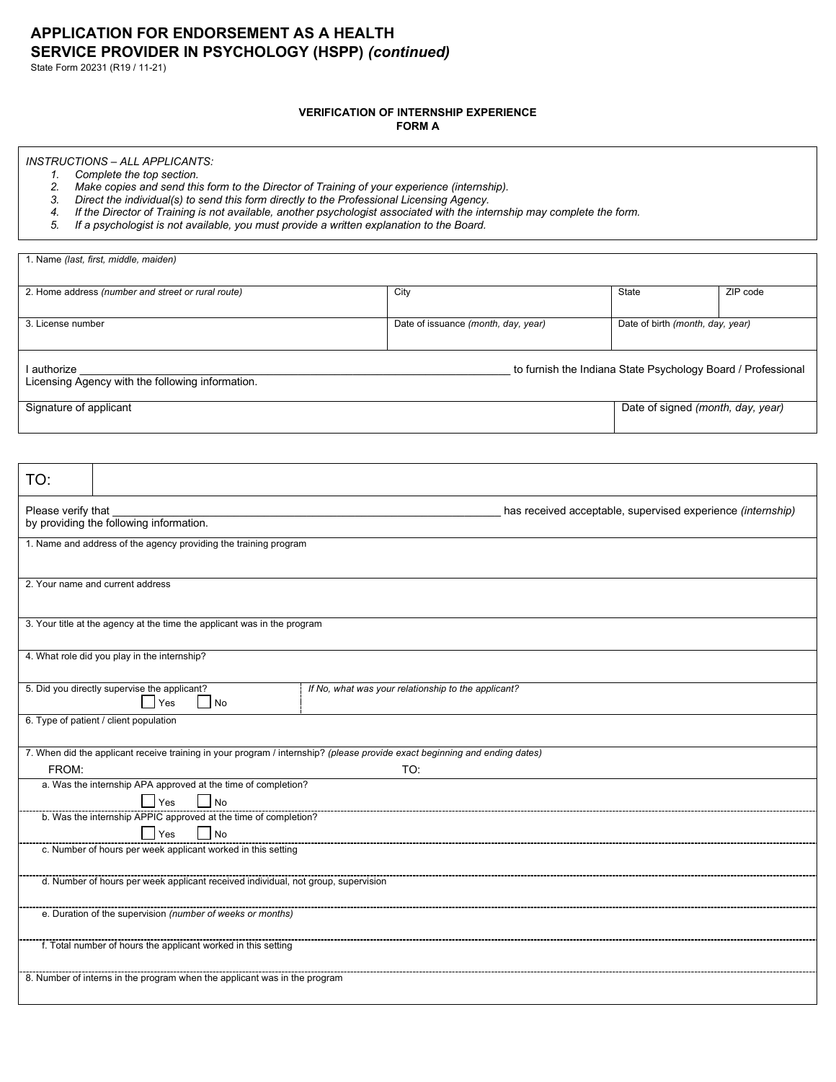State Form 20231 (R19 / 11-21)

## **VERIFICATION OF INTERNSHIP EXPERIENCE**

**FORM A**

## *INSTRUCTIONS – ALL APPLICANTS:*

*1. Complete the top section.* 

1. Name *(last, first, middle, maiden)*

- *2. Make copies and send this form to the Director of Training of your experience (internship).*
- *3. Direct the individual(s) to send this form directly to the Professional Licensing Agency.*
- *4. If the Director of Training is not available, another psychologist associated with the internship may complete the form.*
- *5. If a psychologist is not available, you must provide a written explanation to the Board.*

| 2. Home address (number and street or rural route)                                                                         | City                                                |                                     | State                            | ZIP code                                                     |
|----------------------------------------------------------------------------------------------------------------------------|-----------------------------------------------------|-------------------------------------|----------------------------------|--------------------------------------------------------------|
|                                                                                                                            |                                                     |                                     |                                  |                                                              |
| 3. License number                                                                                                          |                                                     | Date of issuance (month, day, year) | Date of birth (month, day, year) |                                                              |
|                                                                                                                            |                                                     |                                     |                                  |                                                              |
| I authorize                                                                                                                |                                                     |                                     |                                  | to furnish the Indiana State Psychology Board / Professional |
| Licensing Agency with the following information.                                                                           |                                                     |                                     |                                  |                                                              |
| Signature of applicant                                                                                                     |                                                     |                                     |                                  | Date of signed (month, day, year)                            |
|                                                                                                                            |                                                     |                                     |                                  |                                                              |
|                                                                                                                            |                                                     |                                     |                                  |                                                              |
| TO:                                                                                                                        |                                                     |                                     |                                  |                                                              |
| Please verify that                                                                                                         |                                                     |                                     |                                  | has received acceptable, supervised experience (internship)  |
| by providing the following information.                                                                                    |                                                     |                                     |                                  |                                                              |
| 1. Name and address of the agency providing the training program                                                           |                                                     |                                     |                                  |                                                              |
|                                                                                                                            |                                                     |                                     |                                  |                                                              |
| 2. Your name and current address                                                                                           |                                                     |                                     |                                  |                                                              |
|                                                                                                                            |                                                     |                                     |                                  |                                                              |
| 3. Your title at the agency at the time the applicant was in the program                                                   |                                                     |                                     |                                  |                                                              |
|                                                                                                                            |                                                     |                                     |                                  |                                                              |
| 4. What role did you play in the internship?                                                                               |                                                     |                                     |                                  |                                                              |
| 5. Did you directly supervise the applicant?                                                                               | If No, what was your relationship to the applicant? |                                     |                                  |                                                              |
| $\overline{\phantom{a}}$ No<br>Yes                                                                                         |                                                     |                                     |                                  |                                                              |
| 6. Type of patient / client population                                                                                     |                                                     |                                     |                                  |                                                              |
| 7. When did the applicant receive training in your program / internship? (please provide exact beginning and ending dates) |                                                     |                                     |                                  |                                                              |
| FROM:                                                                                                                      | TO:                                                 |                                     |                                  |                                                              |
| a. Was the internship APA approved at the time of completion?                                                              |                                                     |                                     |                                  |                                                              |
| No<br>  Yes                                                                                                                |                                                     |                                     |                                  |                                                              |
| b. Was the internship APPIC approved at the time of completion?<br> Yes<br>$\vert$ No                                      |                                                     |                                     |                                  |                                                              |
| c. Number of hours per week applicant worked in this setting                                                               |                                                     |                                     |                                  |                                                              |
|                                                                                                                            |                                                     |                                     |                                  |                                                              |
| d. Number of hours per week applicant received individual, not group, supervision                                          |                                                     |                                     |                                  |                                                              |
| e. Duration of the supervision (number of weeks or months)                                                                 |                                                     |                                     |                                  |                                                              |
| f. Total number of hours the applicant worked in this setting                                                              |                                                     |                                     |                                  |                                                              |
|                                                                                                                            |                                                     |                                     |                                  |                                                              |
| 8. Number of interns in the program when the applicant was in the program                                                  |                                                     |                                     |                                  |                                                              |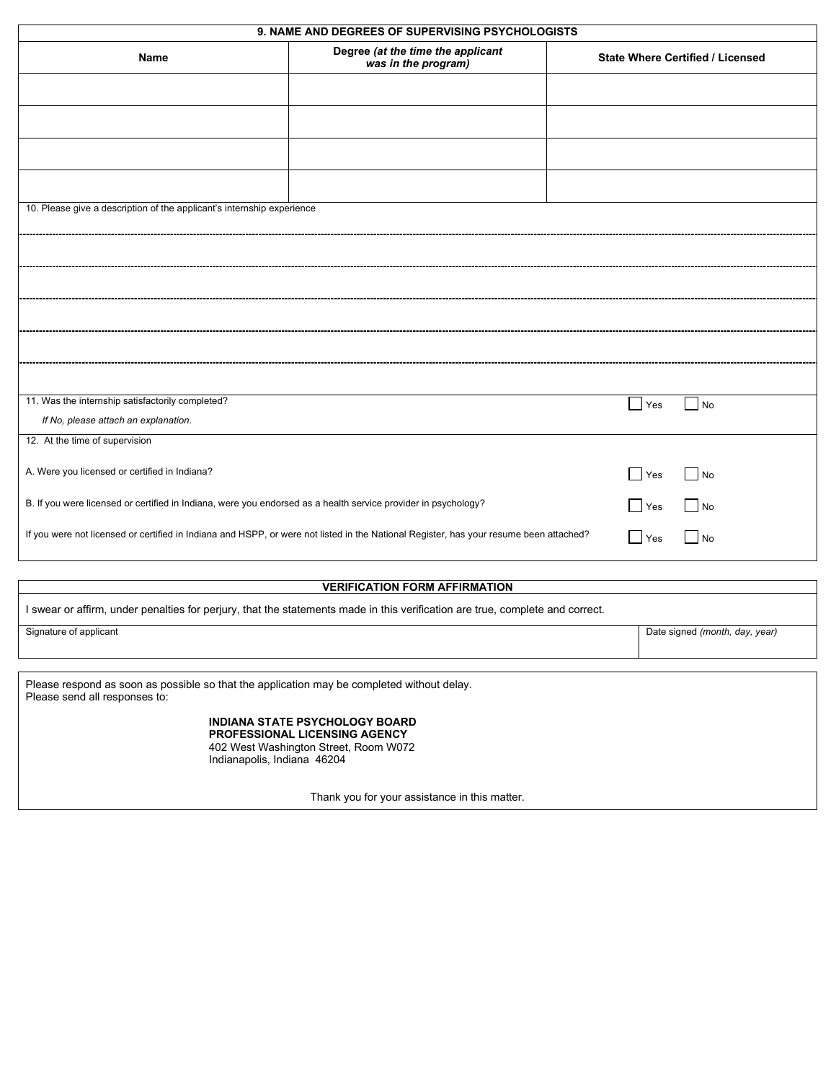|                                                                                                                             | 9. NAME AND DEGREES OF SUPERVISING PSYCHOLOGISTS                                                                                       |                                  |
|-----------------------------------------------------------------------------------------------------------------------------|----------------------------------------------------------------------------------------------------------------------------------------|----------------------------------|
| Name                                                                                                                        | Degree (at the time the applicant<br>was in the program)                                                                               | State Where Certified / Licensed |
|                                                                                                                             |                                                                                                                                        |                                  |
|                                                                                                                             |                                                                                                                                        |                                  |
|                                                                                                                             |                                                                                                                                        |                                  |
|                                                                                                                             |                                                                                                                                        |                                  |
| 10. Please give a description of the applicant's internship experience                                                      |                                                                                                                                        |                                  |
|                                                                                                                             |                                                                                                                                        |                                  |
|                                                                                                                             |                                                                                                                                        |                                  |
|                                                                                                                             |                                                                                                                                        |                                  |
|                                                                                                                             |                                                                                                                                        |                                  |
|                                                                                                                             |                                                                                                                                        |                                  |
|                                                                                                                             |                                                                                                                                        |                                  |
| 11. Was the internship satisfactorily completed?                                                                            |                                                                                                                                        | Yes<br>  No                      |
| If No, please attach an explanation.                                                                                        |                                                                                                                                        |                                  |
| 12. At the time of supervision                                                                                              |                                                                                                                                        |                                  |
| A. Were you licensed or certified in Indiana?                                                                               |                                                                                                                                        | $\Box$ Yes<br>$\vert$ No         |
| B. If you were licensed or certified in Indiana, were you endorsed as a health service provider in psychology?              |                                                                                                                                        | $\blacksquare$ Yes<br>$\vert$ No |
|                                                                                                                             | If you were not licensed or certified in Indiana and HSPP, or were not listed in the National Register, has your resume been attached? | $\blacksquare$ No<br>Yes         |
|                                                                                                                             |                                                                                                                                        |                                  |
|                                                                                                                             | <b>VERIFICATION FORM AFFIRMATION</b>                                                                                                   |                                  |
|                                                                                                                             | I swear or affirm, under penalties for perjury, that the statements made in this verification are true, complete and correct.          |                                  |
| Signature of applicant                                                                                                      |                                                                                                                                        | Date signed (month, day, year)   |
|                                                                                                                             |                                                                                                                                        |                                  |
| Please respond as soon as possible so that the application may be completed without delay.<br>Please send all responses to: |                                                                                                                                        |                                  |
| Indianapolis, Indiana 46204                                                                                                 | <b>INDIANA STATE PSYCHOLOGY BOARD</b><br><b>PROFESSIONAL LICENSING AGENCY</b><br>402 West Washington Street, Room W072                 |                                  |
|                                                                                                                             | Thank you for your assistance in this matter.                                                                                          |                                  |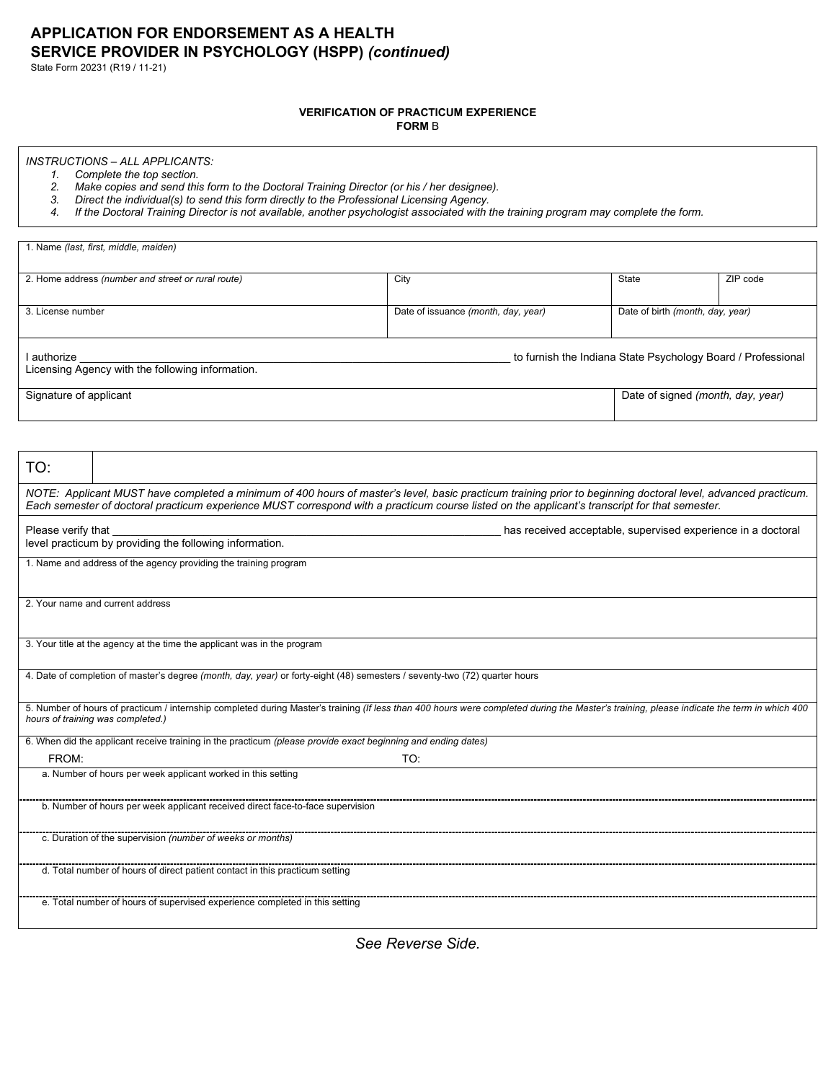State Form 20231 (R19 / 11-21)

### **VERIFICATION OF PRACTICUM EXPERIENCE**

**FORM** B

## *INSTRUCTIONS – ALL APPLICANTS:*

*1. Complete the top section.* 

*2. Make copies and send this form to the Doctoral Training Director (or his / her designee).*

*3. Direct the individual(s) to send this form directly to the Professional Licensing Agency.* 

*4. If the Doctoral Training Director is not available, another psychologist associated with the training program may complete the form.*

|                        | 1. Name (last, first, middle, maiden)                                                                                                                                                                                                                                                                           |                                     |                                  |                                                              |
|------------------------|-----------------------------------------------------------------------------------------------------------------------------------------------------------------------------------------------------------------------------------------------------------------------------------------------------------------|-------------------------------------|----------------------------------|--------------------------------------------------------------|
|                        | 2. Home address (number and street or rural route)                                                                                                                                                                                                                                                              | City                                | <b>State</b>                     | ZIP code                                                     |
|                        |                                                                                                                                                                                                                                                                                                                 |                                     |                                  |                                                              |
| 3. License number      |                                                                                                                                                                                                                                                                                                                 | Date of issuance (month, day, year) | Date of birth (month, day, year) |                                                              |
|                        |                                                                                                                                                                                                                                                                                                                 |                                     |                                  |                                                              |
| I authorize            | Licensing Agency with the following information.                                                                                                                                                                                                                                                                |                                     |                                  | to furnish the Indiana State Psychology Board / Professional |
|                        |                                                                                                                                                                                                                                                                                                                 |                                     |                                  |                                                              |
| Signature of applicant |                                                                                                                                                                                                                                                                                                                 |                                     |                                  | Date of signed (month, day, year)                            |
|                        |                                                                                                                                                                                                                                                                                                                 |                                     |                                  |                                                              |
| TO:                    |                                                                                                                                                                                                                                                                                                                 |                                     |                                  |                                                              |
|                        | NOTE: Applicant MUST have completed a minimum of 400 hours of master's level, basic practicum training prior to beginning doctoral level, advanced practicum.<br>Each semester of doctoral practicum experience MUST correspond with a practicum course listed on the applicant's transcript for that semester. |                                     |                                  |                                                              |
| Please verify that     | level practicum by providing the following information.                                                                                                                                                                                                                                                         |                                     |                                  | has received acceptable, supervised experience in a doctoral |
|                        | 1. Name and address of the agency providing the training program                                                                                                                                                                                                                                                |                                     |                                  |                                                              |
|                        |                                                                                                                                                                                                                                                                                                                 |                                     |                                  |                                                              |
|                        | 2. Your name and current address                                                                                                                                                                                                                                                                                |                                     |                                  |                                                              |
|                        | 3. Your title at the agency at the time the applicant was in the program                                                                                                                                                                                                                                        |                                     |                                  |                                                              |
|                        | 4. Date of completion of master's degree (month, day, year) or forty-eight (48) semesters / seventy-two (72) quarter hours                                                                                                                                                                                      |                                     |                                  |                                                              |
|                        | 5. Number of hours of practicum / internship completed during Master's training (If less than 400 hours were completed during the Master's training, please indicate the term in which 400<br>hours of training was completed.)                                                                                 |                                     |                                  |                                                              |
|                        | 6. When did the applicant receive training in the practicum (please provide exact beginning and ending dates)                                                                                                                                                                                                   |                                     |                                  |                                                              |
| FROM:                  | a. Number of hours per week applicant worked in this setting                                                                                                                                                                                                                                                    | TO:                                 |                                  |                                                              |
|                        |                                                                                                                                                                                                                                                                                                                 |                                     |                                  |                                                              |
|                        | b. Number of hours per week applicant received direct face-to-face supervision                                                                                                                                                                                                                                  |                                     |                                  |                                                              |
|                        | c. Duration of the supervision (number of weeks or months)                                                                                                                                                                                                                                                      |                                     |                                  |                                                              |
|                        | d. Total number of hours of direct patient contact in this practicum setting                                                                                                                                                                                                                                    |                                     |                                  |                                                              |
|                        | e. Total number of hours of supervised experience completed in this setting                                                                                                                                                                                                                                     |                                     |                                  |                                                              |
|                        |                                                                                                                                                                                                                                                                                                                 |                                     |                                  |                                                              |

*See Reverse Side.*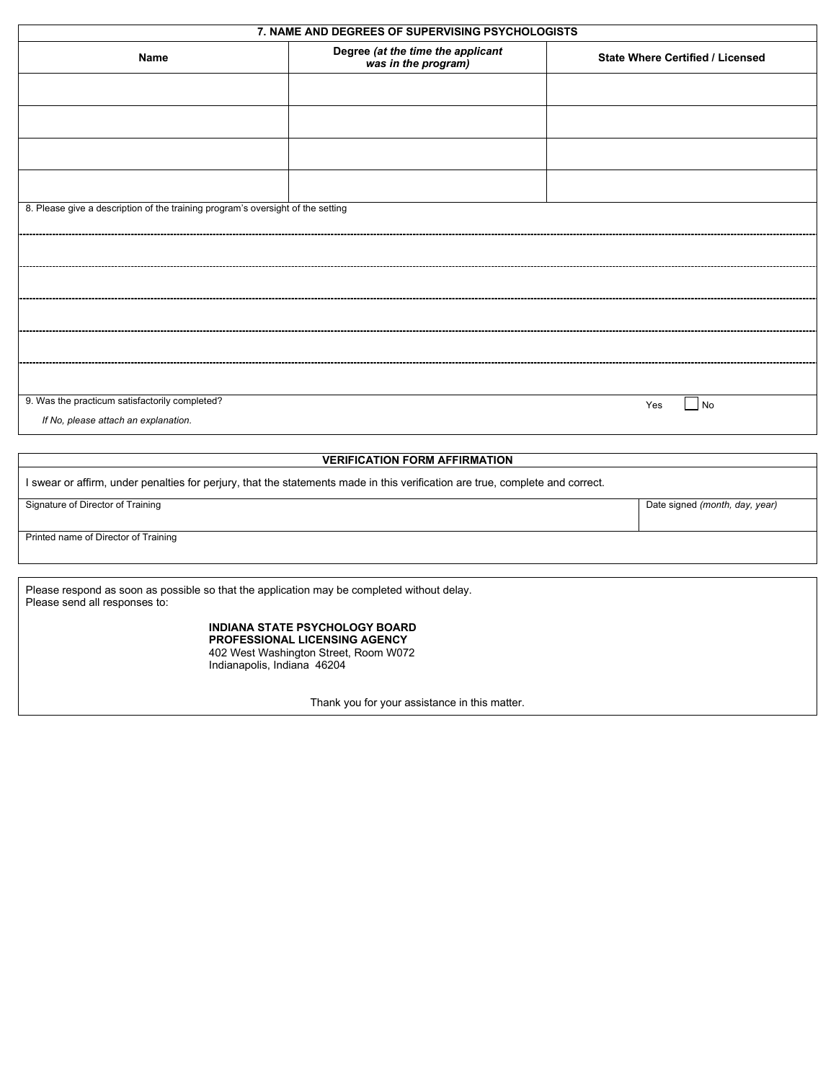|                                                                                                                             | 7. NAME AND DEGREES OF SUPERVISING PSYCHOLOGISTS                                                                                               |                                         |
|-----------------------------------------------------------------------------------------------------------------------------|------------------------------------------------------------------------------------------------------------------------------------------------|-----------------------------------------|
| Name                                                                                                                        | Degree (at the time the applicant<br>was in the program)                                                                                       | <b>State Where Certified / Licensed</b> |
|                                                                                                                             |                                                                                                                                                |                                         |
|                                                                                                                             |                                                                                                                                                |                                         |
|                                                                                                                             |                                                                                                                                                |                                         |
|                                                                                                                             |                                                                                                                                                |                                         |
|                                                                                                                             |                                                                                                                                                |                                         |
| 8. Please give a description of the training program's oversight of the setting                                             |                                                                                                                                                |                                         |
|                                                                                                                             |                                                                                                                                                |                                         |
|                                                                                                                             |                                                                                                                                                |                                         |
|                                                                                                                             |                                                                                                                                                |                                         |
|                                                                                                                             |                                                                                                                                                |                                         |
|                                                                                                                             |                                                                                                                                                |                                         |
|                                                                                                                             |                                                                                                                                                |                                         |
|                                                                                                                             |                                                                                                                                                |                                         |
| 9. Was the practicum satisfactorily completed?                                                                              |                                                                                                                                                | $\blacksquare$ No<br>Yes                |
| If No, please attach an explanation.                                                                                        |                                                                                                                                                |                                         |
|                                                                                                                             |                                                                                                                                                |                                         |
|                                                                                                                             | <b>VERIFICATION FORM AFFIRMATION</b>                                                                                                           |                                         |
|                                                                                                                             | I swear or affirm, under penalties for perjury, that the statements made in this verification are true, complete and correct.                  |                                         |
| Signature of Director of Training                                                                                           |                                                                                                                                                | Date signed (month, day, year)          |
| Printed name of Director of Training                                                                                        |                                                                                                                                                |                                         |
|                                                                                                                             |                                                                                                                                                |                                         |
| Please respond as soon as possible so that the application may be completed without delay.<br>Please send all responses to: |                                                                                                                                                |                                         |
|                                                                                                                             | <b>INDIANA STATE PSYCHOLOGY BOARD</b><br>PROFESSIONAL LICENSING AGENCY<br>402 West Washington Street, Room W072<br>Indianapolis, Indiana 46204 |                                         |

Thank you for your assistance in this matter.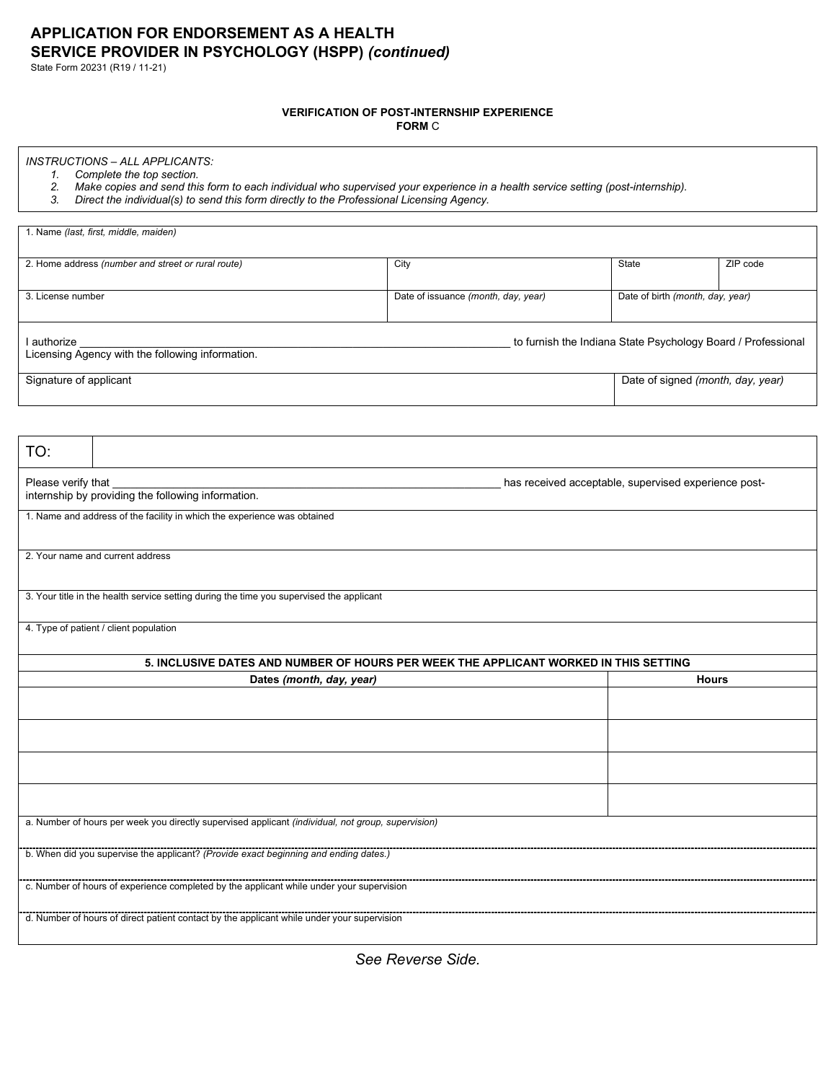State Form 20231 (R19 / 11-21)

#### **VERIFICATION OF POST-INTERNSHIP EXPERIENCE**

**FORM** C

## *INSTRUCTIONS – ALL APPLICANTS:*

- *1. Complete the top section. 2. Make copies and send this form to each individual who supervised your experience in a health service setting (post-internship).*
- *3. Direct the individual(s) to send this form directly to the Professional Licensing Agency.*

| 1. Name (last, first, middle, maiden)                           |                                     |                                                              |          |
|-----------------------------------------------------------------|-------------------------------------|--------------------------------------------------------------|----------|
| 2. Home address (number and street or rural route)              | City                                | <b>State</b>                                                 | ZIP code |
| 3. License number                                               | Date of issuance (month, day, year) | Date of birth (month, day, year)                             |          |
| I authorize<br>Licensing Agency with the following information. |                                     | to furnish the Indiana State Psychology Board / Professional |          |
| Signature of applicant                                          |                                     | Date of signed (month, day, year)                            |          |

| TO:                                                                                                |                                                      |  |  |
|----------------------------------------------------------------------------------------------------|------------------------------------------------------|--|--|
| Please verify that<br>internship by providing the following information.                           | has received acceptable, supervised experience post- |  |  |
| 1. Name and address of the facility in which the experience was obtained                           |                                                      |  |  |
| 2. Your name and current address                                                                   |                                                      |  |  |
| 3. Your title in the health service setting during the time you supervised the applicant           |                                                      |  |  |
| 4. Type of patient / client population                                                             |                                                      |  |  |
| 5. INCLUSIVE DATES AND NUMBER OF HOURS PER WEEK THE APPLICANT WORKED IN THIS SETTING               |                                                      |  |  |
| Dates (month, day, year)                                                                           | <b>Hours</b>                                         |  |  |
|                                                                                                    |                                                      |  |  |
|                                                                                                    |                                                      |  |  |
|                                                                                                    |                                                      |  |  |
|                                                                                                    |                                                      |  |  |
| a. Number of hours per week you directly supervised applicant (individual, not group, supervision) |                                                      |  |  |
| b. When did you supervise the applicant? (Provide exact beginning and ending dates.)               |                                                      |  |  |
| c. Number of hours of experience completed by the applicant while under your supervision           |                                                      |  |  |
| d. Number of hours of direct patient contact by the applicant while under your supervision         |                                                      |  |  |

*See Reverse Side.*